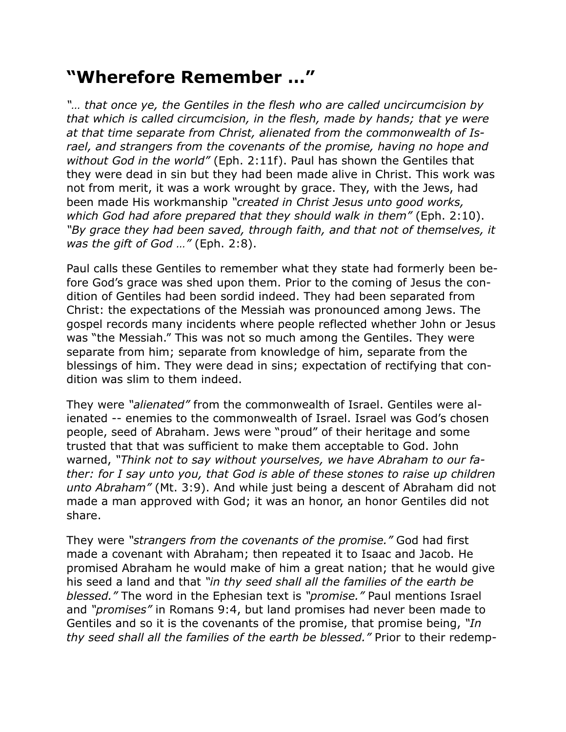## **"Wherefore Remember …"**

*"… that once ye, the Gentiles in the flesh who are called uncircumcision by that which is called circumcision, in the flesh, made by hands; that ye were at that time separate from Christ, alienated from the commonwealth of Israel, and strangers from the covenants of the promise, having no hope and without God in the world"* (Eph. 2:11f). Paul has shown the Gentiles that they were dead in sin but they had been made alive in Christ. This work was not from merit, it was a work wrought by grace. They, with the Jews, had been made His workmanship *"created in Christ Jesus unto good works, which God had afore prepared that they should walk in them"* (Eph. 2:10). *"By grace they had been saved, through faith, and that not of themselves, it was the gift of God …"* (Eph. 2:8).

Paul calls these Gentiles to remember what they state had formerly been before God's grace was shed upon them. Prior to the coming of Jesus the condition of Gentiles had been sordid indeed. They had been separated from Christ: the expectations of the Messiah was pronounced among Jews. The gospel records many incidents where people reflected whether John or Jesus was "the Messiah." This was not so much among the Gentiles. They were separate from him; separate from knowledge of him, separate from the blessings of him. They were dead in sins; expectation of rectifying that condition was slim to them indeed.

They were *"alienated"* from the commonwealth of Israel. Gentiles were alienated -- enemies to the commonwealth of Israel. Israel was God's chosen people, seed of Abraham. Jews were "proud" of their heritage and some trusted that that was sufficient to make them acceptable to God. John warned, *"Think not to say without yourselves, we have Abraham to our father: for I say unto you, that God is able of these stones to raise up children unto Abraham"* (Mt. 3:9). And while just being a descent of Abraham did not made a man approved with God; it was an honor, an honor Gentiles did not share.

They were *"strangers from the covenants of the promise."* God had first made a covenant with Abraham; then repeated it to Isaac and Jacob. He promised Abraham he would make of him a great nation; that he would give his seed a land and that *"in thy seed shall all the families of the earth be blessed."* The word in the Ephesian text is *"promise."* Paul mentions Israel and *"promises"* in Romans 9:4, but land promises had never been made to Gentiles and so it is the covenants of the promise, that promise being, *"In thy seed shall all the families of the earth be blessed."* Prior to their redemp